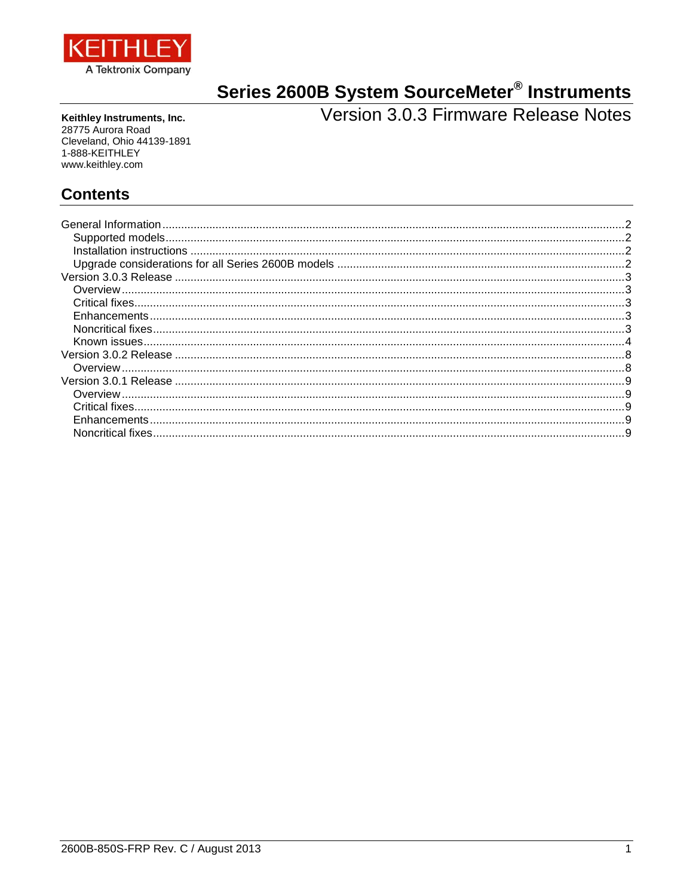

# Series 2600B System SourceMeter<sup>®</sup> Instruments<br>Version 3.0.3 Firmware Release Notes

Keithley Instruments, Inc. 28775 Aurora Road Cleveland, Ohio 44139-1891 1-888-KEITHLEY www.keithley.com

## **Contents**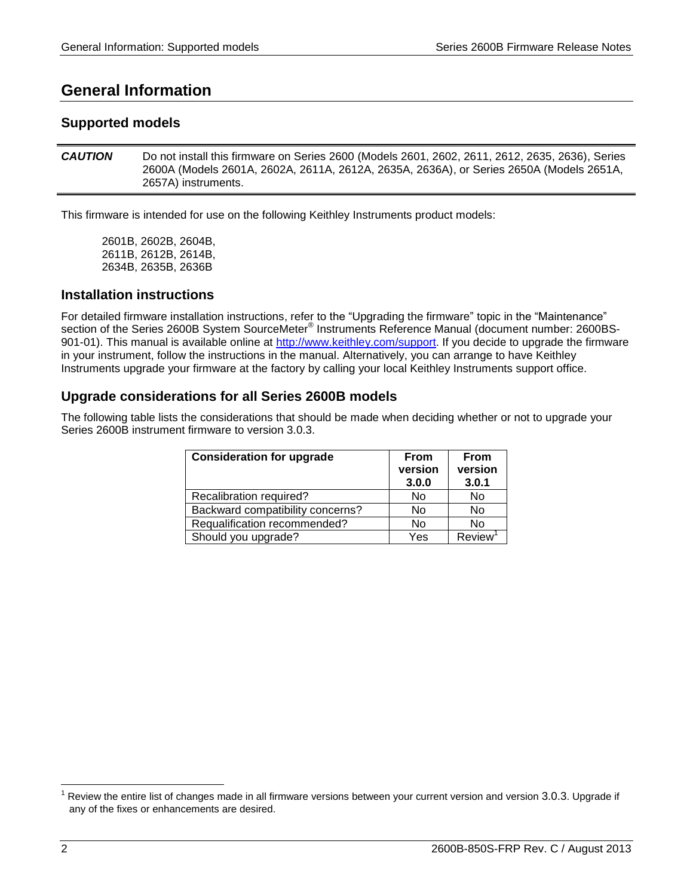## <span id="page-1-0"></span>**General Information**

## <span id="page-1-1"></span>**Supported models**

*CAUTION* Do not install this firmware on Series 2600 (Models 2601, 2602, 2611, 2612, 2635, 2636), Series 2600A (Models 2601A, 2602A, 2611A, 2612A, 2635A, 2636A), or Series 2650A (Models 2651A, 2657A) instruments.

This firmware is intended for use on the following Keithley Instruments product models:

2601B, 2602B, 2604B, 2611B, 2612B, 2614B, 2634B, 2635B, 2636B

## <span id="page-1-2"></span>**Installation instructions**

For detailed firmware installation instructions, refer to the "Upgrading the firmware" topic in the "Maintenance" section of the Series 2600B System SourceMeter® Instruments Reference Manual (document number: 2600BS-901-01). This manual is available online at http://www.keithley.com/support. If you decide to upgrade the firmware in your instrument, follow the instructions in the manual. Alternatively, you can arrange to have Keithley Instruments upgrade your firmware at the factory by calling your local Keithley Instruments support office.

## <span id="page-1-3"></span>**Upgrade considerations for all Series 2600B models**

The following table lists the considerations that should be made when deciding whether or not to upgrade your Series 2600B instrument firmware to version 3.0.3.

| <b>Consideration for upgrade</b> | <b>From</b><br>version<br>3.0.0 | <b>From</b><br>version<br>3.0.1 |
|----------------------------------|---------------------------------|---------------------------------|
| Recalibration required?          | No                              | No                              |
| Backward compatibility concerns? | <b>No</b>                       | No                              |
| Requalification recommended?     | <b>No</b>                       | No                              |
| Should you upgrade?              | Yes                             | <b>Review</b>                   |

l

Review the entire list of changes made in all firmware versions between your current version and version 3.0.3. Upgrade if any of the fixes or enhancements are desired.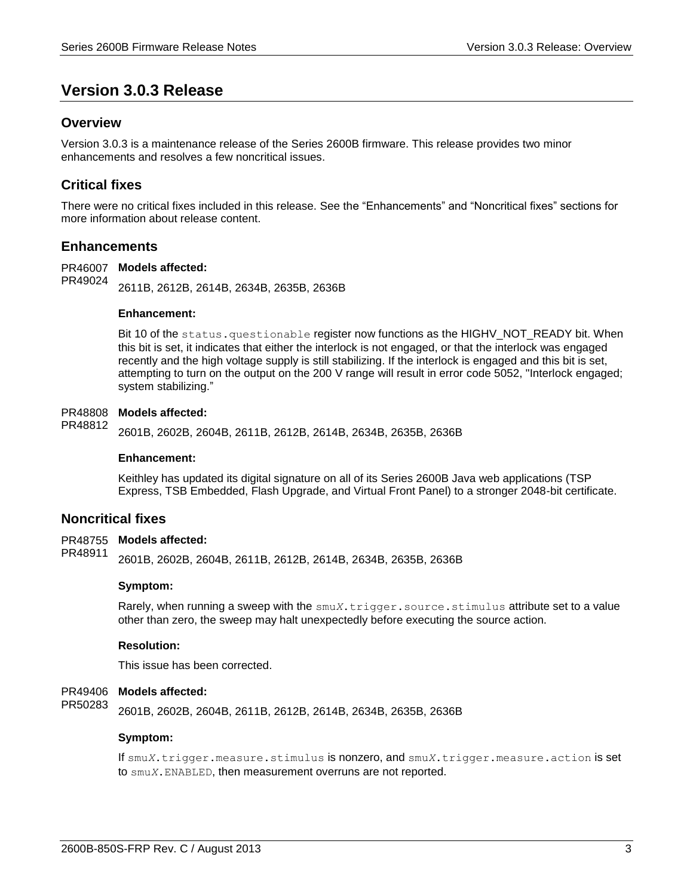## <span id="page-2-0"></span>**Version 3.0.3 Release**

## <span id="page-2-1"></span>**Overview**

Version 3.0.3 is a maintenance release of the Series 2600B firmware. This release provides two minor enhancements and resolves a few noncritical issues.

## <span id="page-2-2"></span>**Critical fixes**

There were no critical fixes included in this release. See the "Enhancements" and "Noncritical fixes" sections for more information about release content.

## <span id="page-2-3"></span>**Enhancements**

PR46007 Models affected:

2611B, 2612B, 2614B, 2634B, 2635B, 2636B PR49024

#### **Enhancement:**

Bit 10 of the status.questionable register now functions as the HIGHV NOT READY bit. When this bit is set, it indicates that either the interlock is not engaged, or that the interlock was engaged recently and the high voltage supply is still stabilizing. If the interlock is engaged and this bit is set, attempting to turn on the output on the 200 V range will result in error code 5052, "Interlock engaged; system stabilizing."

#### PR48808 Models affected:

2601B, 2602B, 2604B, 2611B, 2612B, 2614B, 2634B, 2635B, 2636B PR48812

#### **Enhancement:**

Keithley has updated its digital signature on all of its Series 2600B Java web applications (TSP Express, TSB Embedded, Flash Upgrade, and Virtual Front Panel) to a stronger 2048-bit certificate.

#### <span id="page-2-4"></span>**Noncritical fixes**

PR48755 Models affected:

2601B, 2602B, 2604B, 2611B, 2612B, 2614B, 2634B, 2635B, 2636B PR48911

#### **Symptom:**

Rarely, when running a sweep with the smu*X*.trigger.source.stimulus attribute set to a value other than zero, the sweep may halt unexpectedly before executing the source action.

#### **Resolution:**

This issue has been corrected.

#### PR49406 Models affected:

2601B, 2602B, 2604B, 2611B, 2612B, 2614B, 2634B, 2635B, 2636B PR50283

#### **Symptom:**

If smu*X*.trigger.measure.stimulus is nonzero, and smu*X*.trigger.measure.action is set to smu*X*.ENABLED, then measurement overruns are not reported.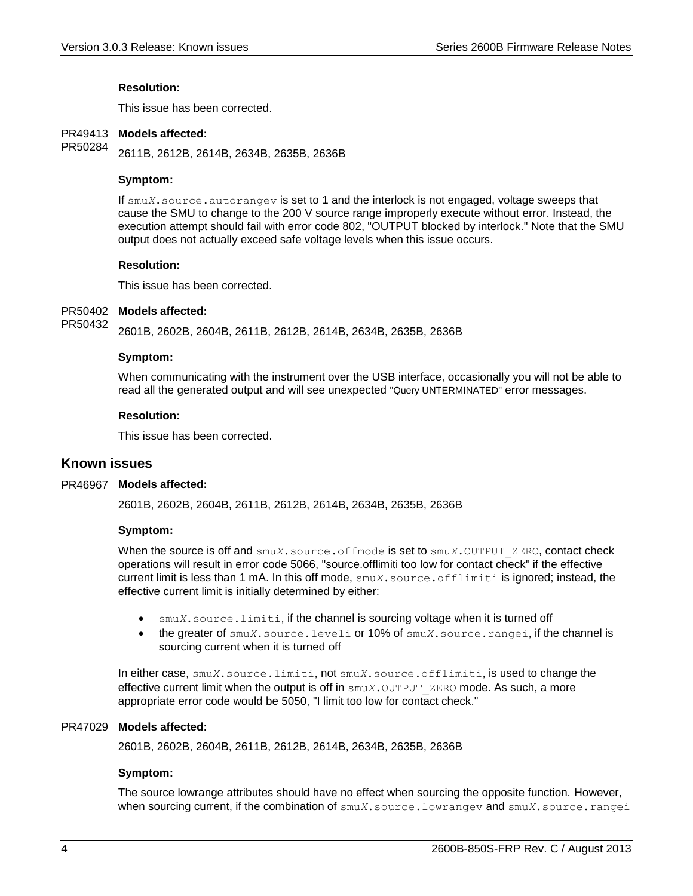#### **Resolution:**

This issue has been corrected.

#### PR49413 Models affected:

2611B, 2612B, 2614B, 2634B, 2635B, 2636B PR50284

#### **Symptom:**

If smu*X*. source.autorangev is set to 1 and the interlock is not engaged, voltage sweeps that cause the SMU to change to the 200 V source range improperly execute without error. Instead, the execution attempt should fail with error code 802, "OUTPUT blocked by interlock." Note that the SMU output does not actually exceed safe voltage levels when this issue occurs.

#### **Resolution:**

This issue has been corrected.

#### PR50402 Models affected:

2601B, 2602B, 2604B, 2611B, 2612B, 2614B, 2634B, 2635B, 2636B PR50432

#### **Symptom:**

When communicating with the instrument over the USB interface, occasionally you will not be able to read all the generated output and will see unexpected "Query UNTERMINATED" error messages.

#### **Resolution:**

This issue has been corrected.

### <span id="page-3-0"></span>**Known issues**

#### PR46967 Models affected:

2601B, 2602B, 2604B, 2611B, 2612B, 2614B, 2634B, 2635B, 2636B

#### **Symptom:**

When the source is off and smu*X*.source.offmode is set to smu*X*.OUTPUT ZERO, contact check operations will result in error code 5066, "source.offlimiti too low for contact check" if the effective current limit is less than 1 mA. In this off mode, smu*X*.source.offlimiti is ignored; instead, the effective current limit is initially determined by either:

- smu*X*.source.limiti, if the channel is sourcing voltage when it is turned off
- the greater of smu*X*.source.leveli or 10% of smu*X*.source.rangei, if the channel is sourcing current when it is turned off

In either case, smu*X*.source.limiti, not smu*X*.source.offlimiti, is used to change the effective current limit when the output is off in smu*X*.OUTPUT\_ZERO mode. As such, a more appropriate error code would be 5050, "I limit too low for contact check."

#### PR47029 Models affected:

2601B, 2602B, 2604B, 2611B, 2612B, 2614B, 2634B, 2635B, 2636B

#### **Symptom:**

The source lowrange attributes should have no effect when sourcing the opposite function. However, when sourcing current, if the combination of smu*X*.source.lowrangev and smu*X*.source.rangei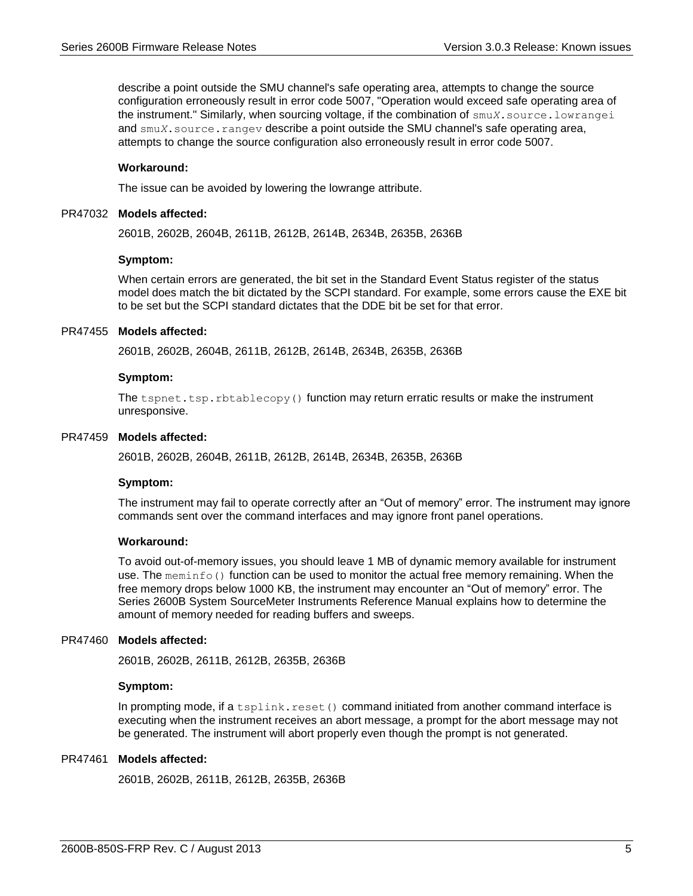describe a point outside the SMU channel's safe operating area, attempts to change the source configuration erroneously result in error code 5007, "Operation would exceed safe operating area of the instrument." Similarly, when sourcing voltage, if the combination of smu*X*.source.lowrangei and smu*X*. source. rangev describe a point outside the SMU channel's safe operating area, attempts to change the source configuration also erroneously result in error code 5007.

#### **Workaround:**

The issue can be avoided by lowering the lowrange attribute.

#### PR47032 Models affected:

2601B, 2602B, 2604B, 2611B, 2612B, 2614B, 2634B, 2635B, 2636B

#### **Symptom:**

When certain errors are generated, the bit set in the Standard Event Status register of the status model does match the bit dictated by the SCPI standard. For example, some errors cause the EXE bit to be set but the SCPI standard dictates that the DDE bit be set for that error.

#### PR47455 Models affected:

2601B, 2602B, 2604B, 2611B, 2612B, 2614B, 2634B, 2635B, 2636B

#### **Symptom:**

The tspnet.tsp.rbtablecopy() function may return erratic results or make the instrument unresponsive.

#### PR47459 Models affected:

2601B, 2602B, 2604B, 2611B, 2612B, 2614B, 2634B, 2635B, 2636B

#### **Symptom:**

The instrument may fail to operate correctly after an "Out of memory" error. The instrument may ignore commands sent over the command interfaces and may ignore front panel operations.

#### **Workaround:**

To avoid out-of-memory issues, you should leave 1 MB of dynamic memory available for instrument use. The meminfo() function can be used to monitor the actual free memory remaining. When the free memory drops below 1000 KB, the instrument may encounter an "Out of memory" error. The Series 2600B System SourceMeter Instruments Reference Manual explains how to determine the amount of memory needed for reading buffers and sweeps.

#### PR47460 Models affected:

2601B, 2602B, 2611B, 2612B, 2635B, 2636B

#### **Symptom:**

In prompting mode, if a  $t_{\text{split}}$ , reset() command initiated from another command interface is executing when the instrument receives an abort message, a prompt for the abort message may not be generated. The instrument will abort properly even though the prompt is not generated.

#### PR47461 Models affected:

2601B, 2602B, 2611B, 2612B, 2635B, 2636B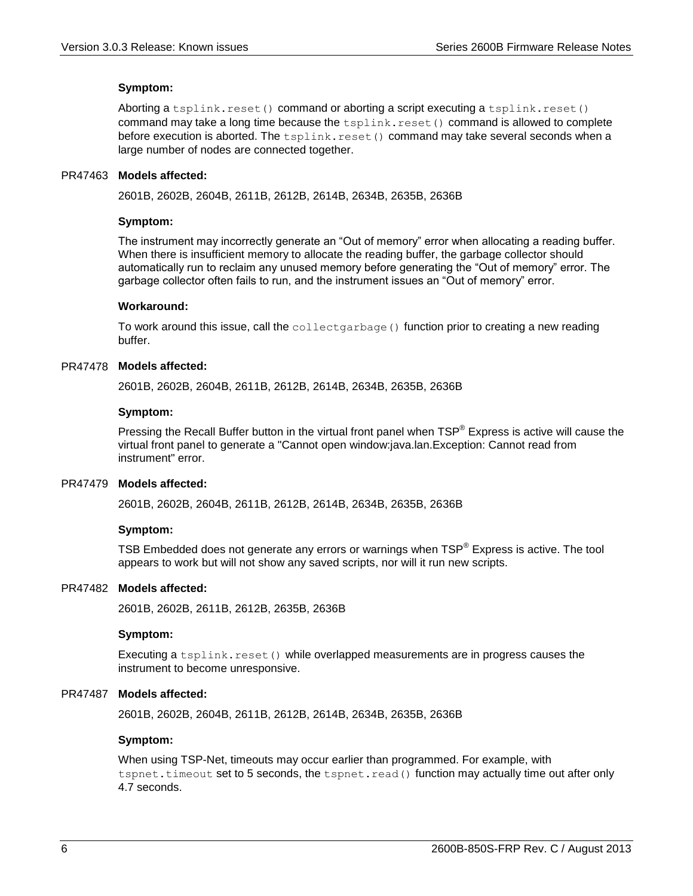#### **Symptom:**

Aborting a tsplink.reset() command or aborting a script executing a tsplink.reset() command may take a long time because the  $tsplit$ .  $t = t$  () command is allowed to complete before execution is aborted. The  $tsplit$ .reset() command may take several seconds when a large number of nodes are connected together.

#### PR47463 Models affected:

2601B, 2602B, 2604B, 2611B, 2612B, 2614B, 2634B, 2635B, 2636B

#### **Symptom:**

The instrument may incorrectly generate an "Out of memory" error when allocating a reading buffer. When there is insufficient memory to allocate the reading buffer, the garbage collector should automatically run to reclaim any unused memory before generating the "Out of memory" error. The garbage collector often fails to run, and the instrument issues an "Out of memory" error.

#### **Workaround:**

To work around this issue, call the collectgarbage () function prior to creating a new reading buffer.

#### PR47478 Models affected:

2601B, 2602B, 2604B, 2611B, 2612B, 2614B, 2634B, 2635B, 2636B

#### **Symptom:**

Pressing the Recall Buffer button in the virtual front panel when TSP® Express is active will cause the virtual front panel to generate a "Cannot open window:java.lan.Exception: Cannot read from instrument" error.

#### PR47479 Models affected:

2601B, 2602B, 2604B, 2611B, 2612B, 2614B, 2634B, 2635B, 2636B

#### **Symptom:**

TSB Embedded does not generate any errors or warnings when  $\text{TSP}^{\circledast}$  Express is active. The tool appears to work but will not show any saved scripts, nor will it run new scripts.

#### PR47482 Models affected:

2601B, 2602B, 2611B, 2612B, 2635B, 2636B

#### **Symptom:**

Executing a  $tsplit(x, reset()$  while overlapped measurements are in progress causes the instrument to become unresponsive.

#### PR47487 Models affected:

2601B, 2602B, 2604B, 2611B, 2612B, 2614B, 2634B, 2635B, 2636B

#### **Symptom:**

When using TSP-Net, timeouts may occur earlier than programmed. For example, with tspnet.timeout set to 5 seconds, the tspnet.read() function may actually time out after only 4.7 seconds.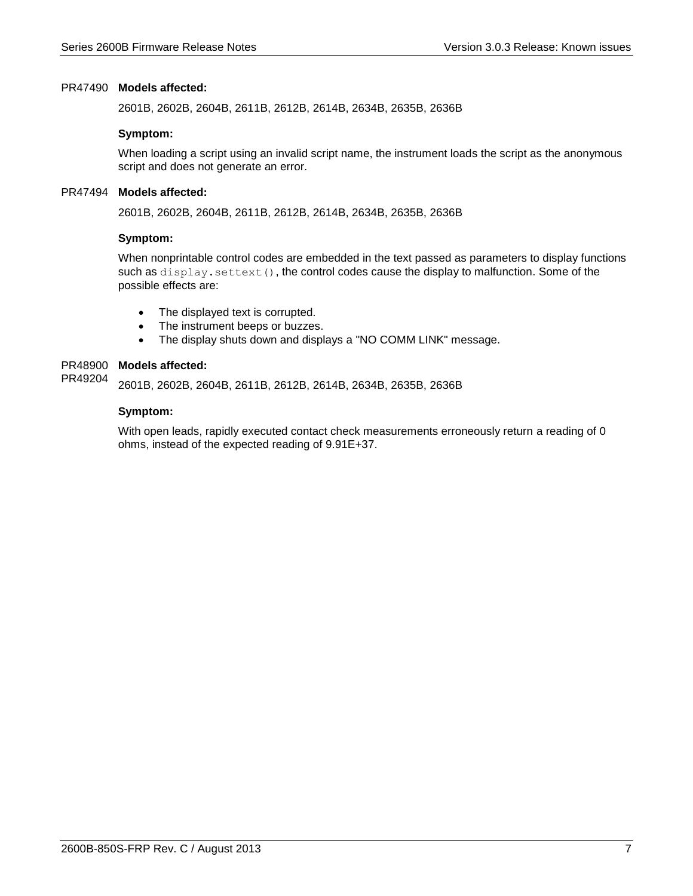#### PR47490 Models affected:

2601B, 2602B, 2604B, 2611B, 2612B, 2614B, 2634B, 2635B, 2636B

#### **Symptom:**

When loading a script using an invalid script name, the instrument loads the script as the anonymous script and does not generate an error.

#### PR47494 Models affected:

2601B, 2602B, 2604B, 2611B, 2612B, 2614B, 2634B, 2635B, 2636B

#### **Symptom:**

When nonprintable control codes are embedded in the text passed as parameters to display functions such as display.settext(), the control codes cause the display to malfunction. Some of the possible effects are:

- The displayed text is corrupted.
- The instrument beeps or buzzes.
- The display shuts down and displays a "NO COMM LINK" message.

#### PR48900 Models affected:

2601B, 2602B, 2604B, 2611B, 2612B, 2614B, 2634B, 2635B, 2636B PR49204

#### **Symptom:**

With open leads, rapidly executed contact check measurements erroneously return a reading of 0 ohms, instead of the expected reading of 9.91E+37.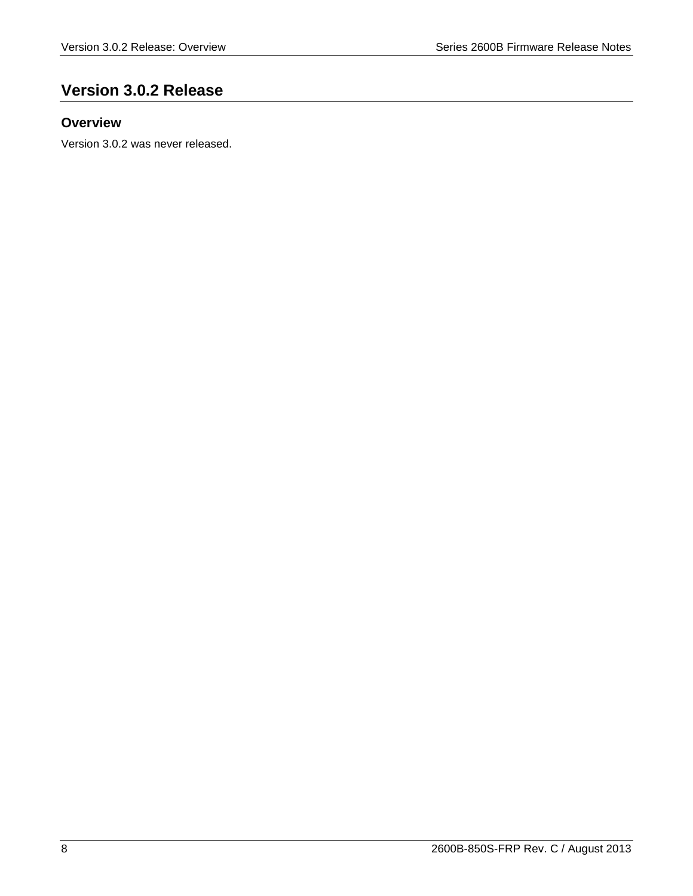## <span id="page-7-0"></span>**Version 3.0.2 Release**

## <span id="page-7-1"></span>**Overview**

Version 3.0.2 was never released.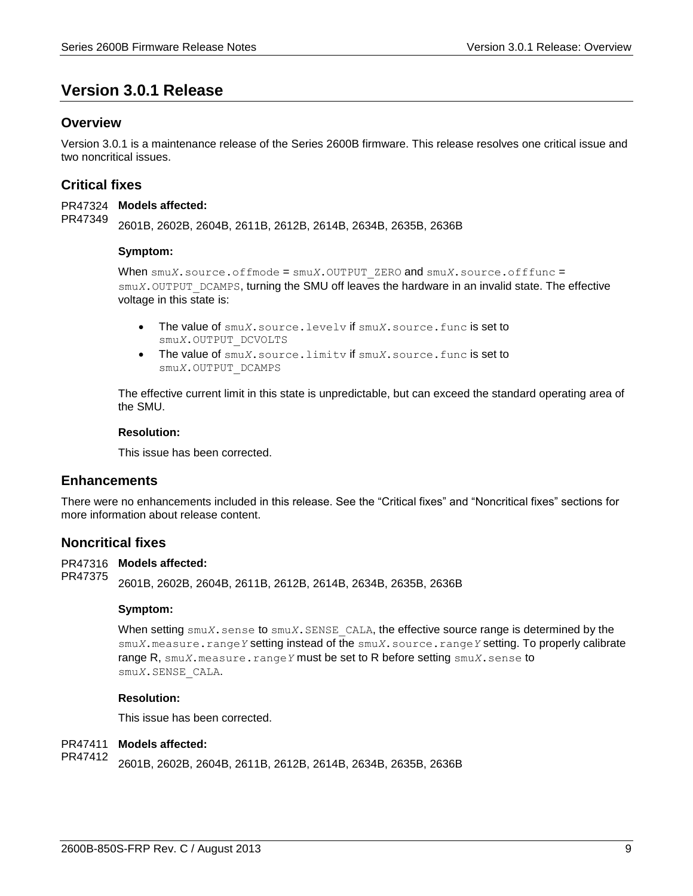## <span id="page-8-0"></span>**Version 3.0.1 Release**

## <span id="page-8-1"></span>**Overview**

Version 3.0.1 is a maintenance release of the Series 2600B firmware. This release resolves one critical issue and two noncritical issues.

## <span id="page-8-2"></span>**Critical fixes**

PR47324 Models affected: 2601B, 2602B, 2604B, 2611B, 2612B, 2614B, 2634B, 2635B, 2636B PR47349

#### **Symptom:**

When smu*X*.source.offmode = smu*X*.OUTPUT\_ZERO and smu*X*.source.offfunc = smu*X*. OUTPUT DCAMPS, turning the SMU off leaves the hardware in an invalid state. The effective voltage in this state is:

- The value of smu*X*.source.levelv if smu*X*.source.func is set to smu*X*.OUTPUT\_DCVOLTS
- The value of smu*X*.source.limitv if smu*X*.source.func is set to smu*X*.OUTPUT\_DCAMPS

The effective current limit in this state is unpredictable, but can exceed the standard operating area of the SMU.

#### **Resolution:**

This issue has been corrected.

## <span id="page-8-3"></span>**Enhancements**

There were no enhancements included in this release. See the "Critical fixes" and "Noncritical fixes" sections for more information about release content.

#### <span id="page-8-4"></span>**Noncritical fixes**

PR47316 Models affected:

2601B, 2602B, 2604B, 2611B, 2612B, 2614B, 2634B, 2635B, 2636B PR47375

#### **Symptom:**

When setting  $\text{smu}X$ , sense to  $\text{smu}X$ , SENSE CALA, the effective source range is determined by the smu*X*.measure.range*Y* setting instead of the smu*X*.source.range*Y* setting. To properly calibrate range R, smu*X*.measure.range*Y* must be set to R before setting smu*X*.sense to smu*X*.SENSE\_CALA.

#### **Resolution:**

This issue has been corrected.

#### PR47411 **Models affected:**

2601B, 2602B, 2604B, 2611B, 2612B, 2614B, 2634B, 2635B, 2636B PR47412